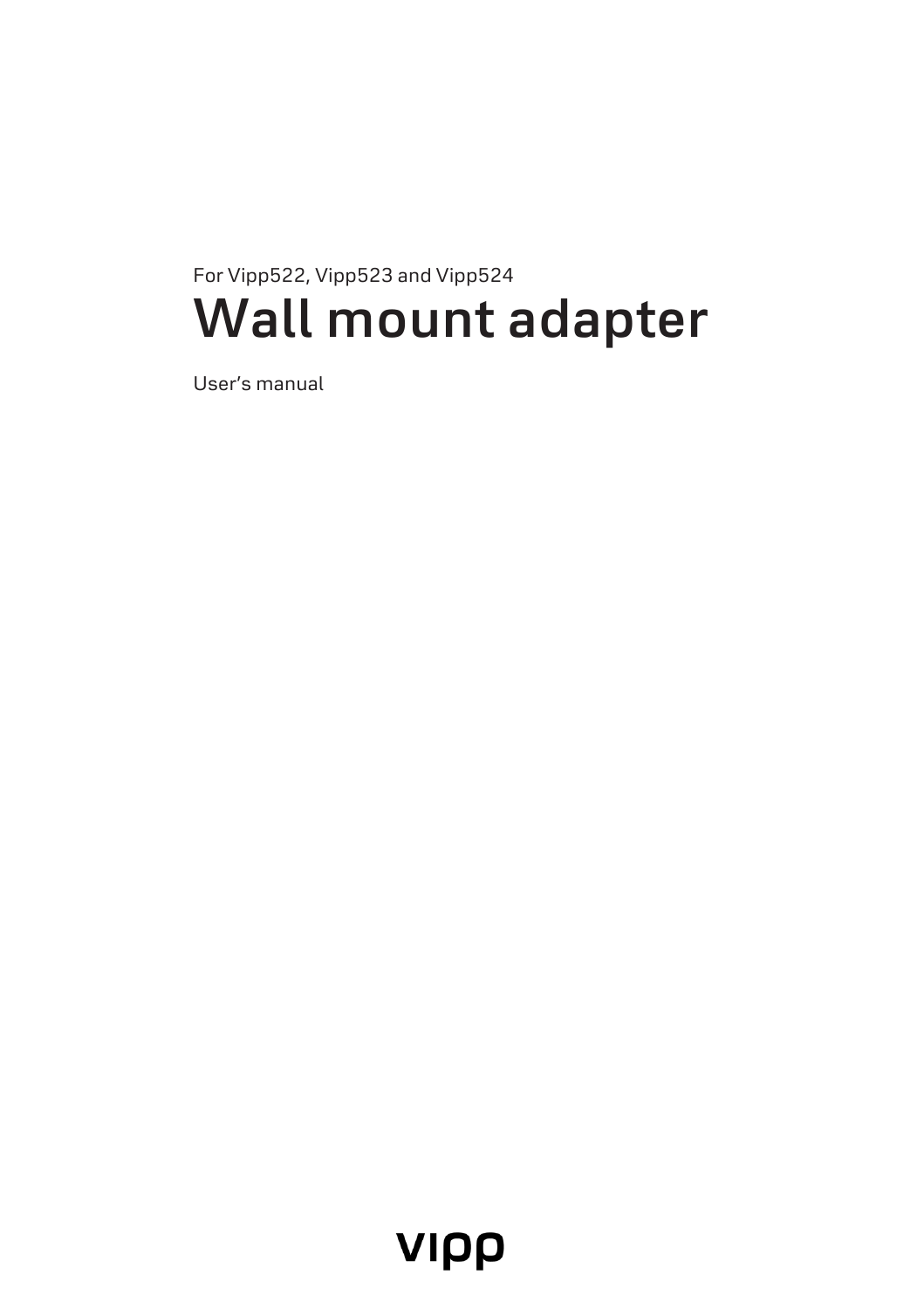# For Vipp522, Vipp523 and Vipp524 **Wall mount adapter**

User's manual

# VIPP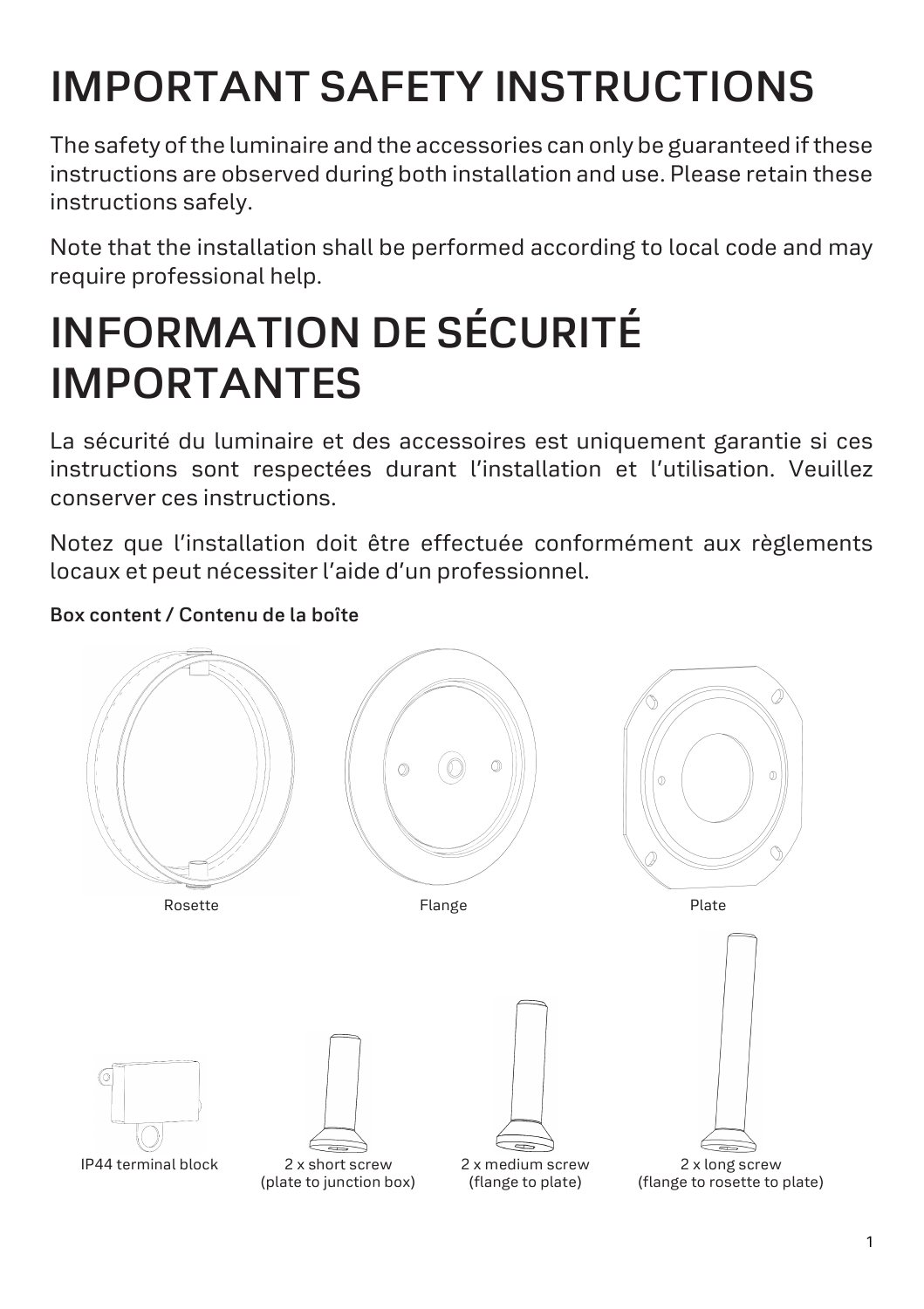# **IMPORTANT SAFETY INSTRUCTIONS**

The safety of the luminaire and the accessories can only be guaranteed if these instructions are observed during both installation and use. Please retain these instructions safely.

Note that the installation shall be performed according to local code and may require professional help.

# **INFORMATION DE SÉCURITÉ IMPORTANTES**

La sécurité du luminaire et des accessoires est uniquement garantie si ces instructions sont respectées durant l'installation et l'utilisation. Veuillez conserver ces instructions.

Notez que l'installation doit être effectuée conformément aux règlements locaux et peut nécessiter l'aide d'un professionnel.

# **Box content / Contenu de la boîte**

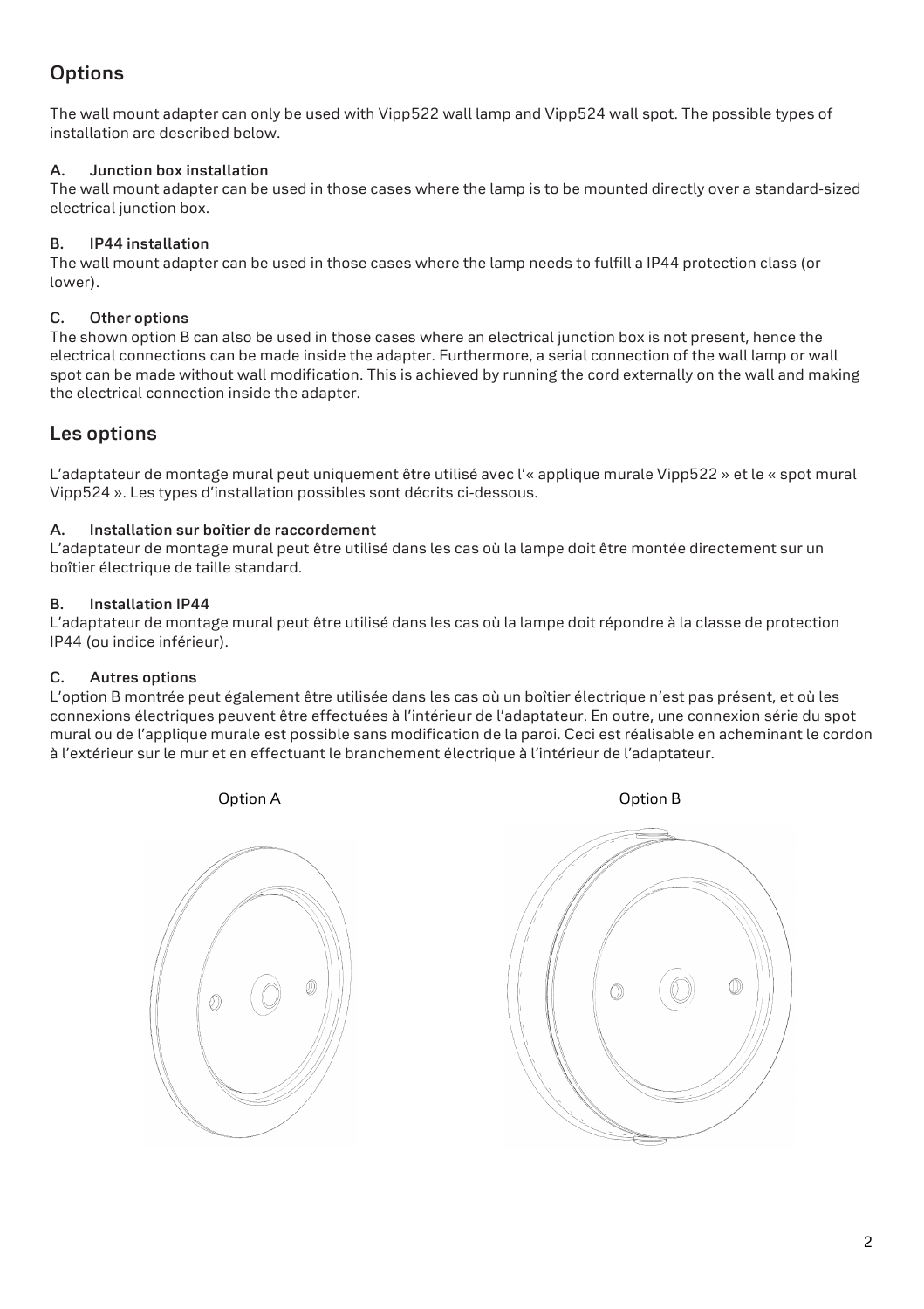# **Options**

The wall mount adapter can only be used with Vipp522 wall lamp and Vipp524 wall spot. The possible types of installation are described below.

#### **A. Junction box installation**

The wall mount adapter can be used in those cases where the lamp is to be mounted directly over a standard-sized electrical junction box.

#### **B. IP44 installation**

The wall mount adapter can be used in those cases where the lamp needs to fulfill a IP44 protection class (or lower).

#### **C. Other options**

The shown option B can also be used in those cases where an electrical junction box is not present, hence the electrical connections can be made inside the adapter. Furthermore, a serial connection of the wall lamp or wall spot can be made without wall modification. This is achieved by running the cord externally on the wall and making the electrical connection inside the adapter.

### **Les options**

L'adaptateur de montage mural peut uniquement être utilisé avec l'« applique murale Vipp522 » et le « spot mural Vipp524 ». Les types d'installation possibles sont décrits ci-dessous.

#### **A. Installation sur boîtier de raccordement**

L'adaptateur de montage mural peut être utilisé dans les cas où la lampe doit être montée directement sur un boîtier électrique de taille standard.

#### **B. Installation IP44**

L'adaptateur de montage mural peut être utilisé dans les cas où la lampe doit répondre à la classe de protection IP44 (ou indice inférieur).

#### **C. Autres options**

L'option B montrée peut également être utilisée dans les cas où un boîtier électrique n'est pas présent, et où les connexions électriques peuvent être effectuées à l'intérieur de l'adaptateur. En outre, une connexion série du spot mural ou de l'applique murale est possible sans modification de la paroi. Ceci est réalisable en acheminant le cordon à l'extérieur sur le mur et en effectuant le branchement électrique à l'intérieur de l'adaptateur.

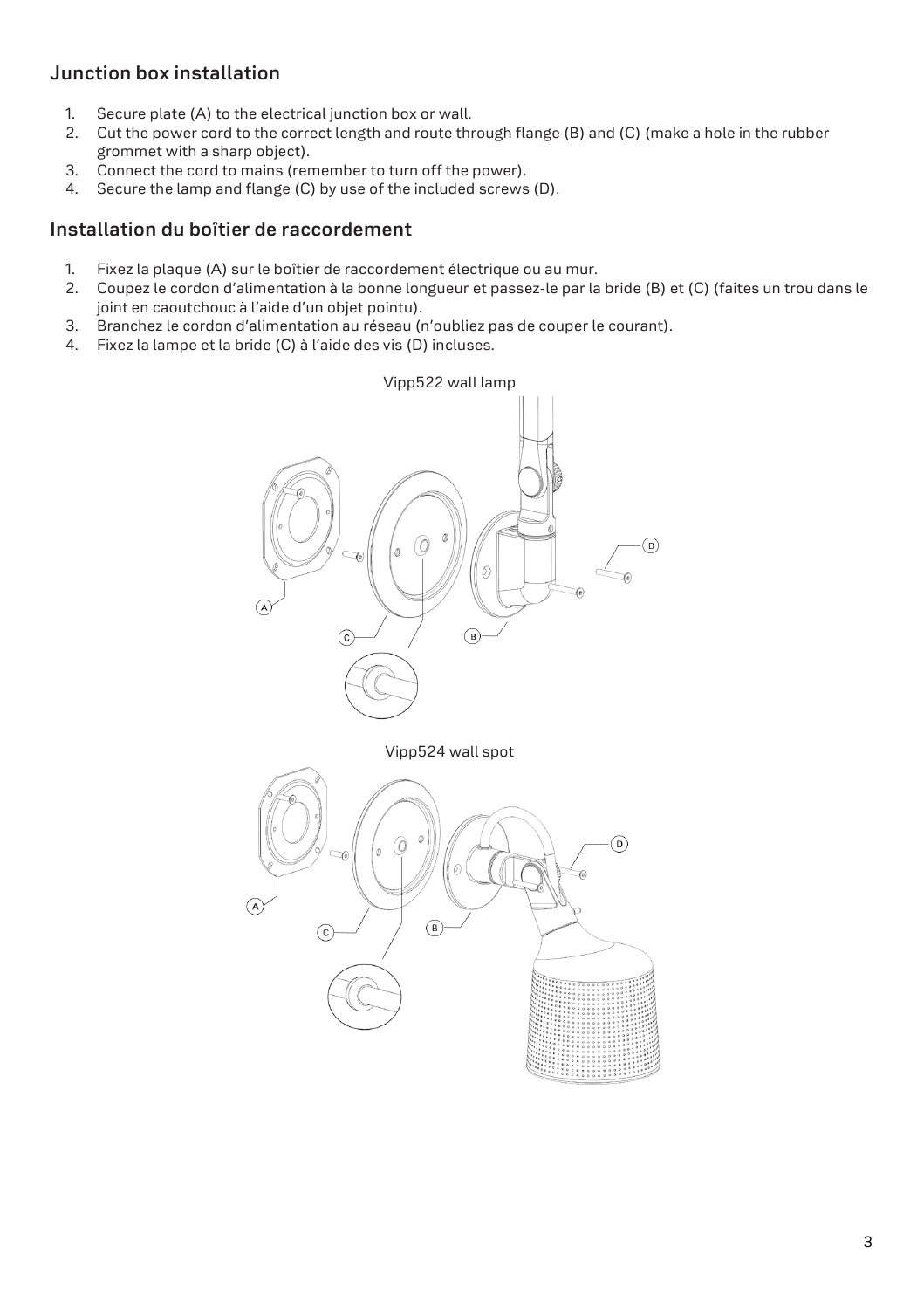## **Junction box installation**

- 1. Secure plate (A) to the electrical junction box or wall.
- 2. Cut the power cord to the correct length and route through flange (B) and (C) (make a hole in the rubber grommet with a sharp object).
- 3. Connect the cord to mains (remember to turn off the power).
- 4. Secure the lamp and flange (C) by use of the included screws (D).

#### **Installation du boîtier de raccordement**

- 1. Fixez la plaque (A) sur le boîtier de raccordement électrique ou au mur.
- 2. Coupez le cordon d'alimentation à la bonne longueur et passez-le par la bride (B) et (C) (faites un trou dans le joint en caoutchouc à l'aide d'un objet pointu).
- 3. Branchez le cordon d'alimentation au réseau (n'oubliez pas de couper le courant).
- 4. Fixez la lampe et la bride (C) à l'aide des vis (D) incluses.

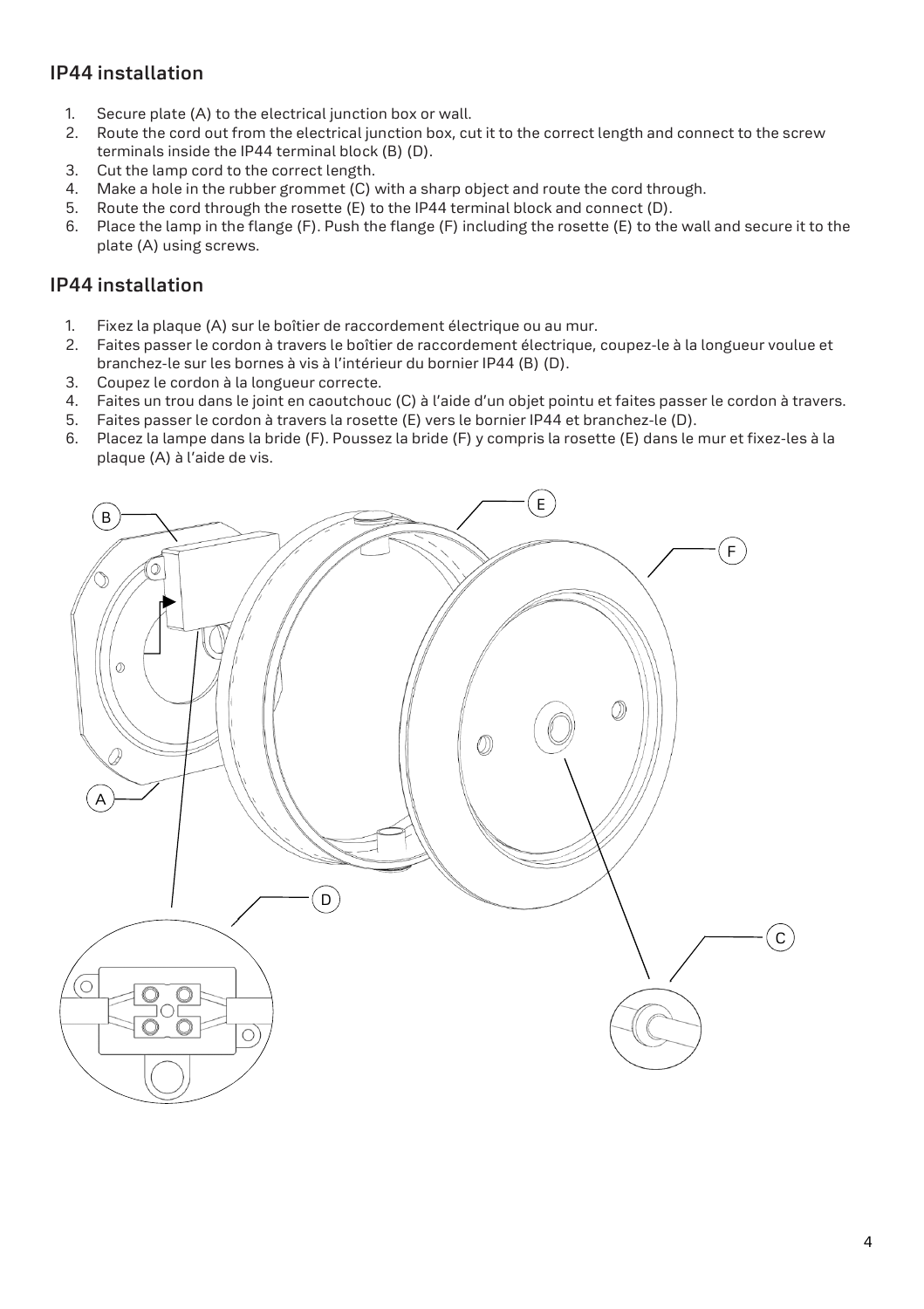## **IP44 installation**

- 1. Secure plate (A) to the electrical junction box or wall.
- 2. Route the cord out from the electrical junction box, cut it to the correct length and connect to the screw terminals inside the IP44 terminal block (B) (D).
- 3. Cut the lamp cord to the correct length.
- 4. Make a hole in the rubber grommet (C) with a sharp object and route the cord through.
- 5. Route the cord through the rosette (E) to the IP44 terminal block and connect (D).
- 6. Place the lamp in the flange (F). Push the flange (F) including the rosette (E) to the wall and secure it to the plate (A) using screws.

#### **IP44 installation**

- 1. Fixez la plaque (A) sur le boîtier de raccordement électrique ou au mur.
- 2. Faites passer le cordon à travers le boîtier de raccordement électrique, coupez-le à la longueur voulue et branchez-le sur les bornes à vis à l'intérieur du bornier IP44 (B) (D).
- 3. Coupez le cordon à la longueur correcte.
- 4. Faites un trou dans le joint en caoutchouc (C) à l'aide d'un objet pointu et faites passer le cordon à travers.
- 5. Faites passer le cordon à travers la rosette (E) vers le bornier IP44 et branchez-le (D).
- 6. Placez la lampe dans la bride (F). Poussez la bride (F) y compris la rosette (E) dans le mur et fixez-les à la plaque (A) à l'aide de vis.

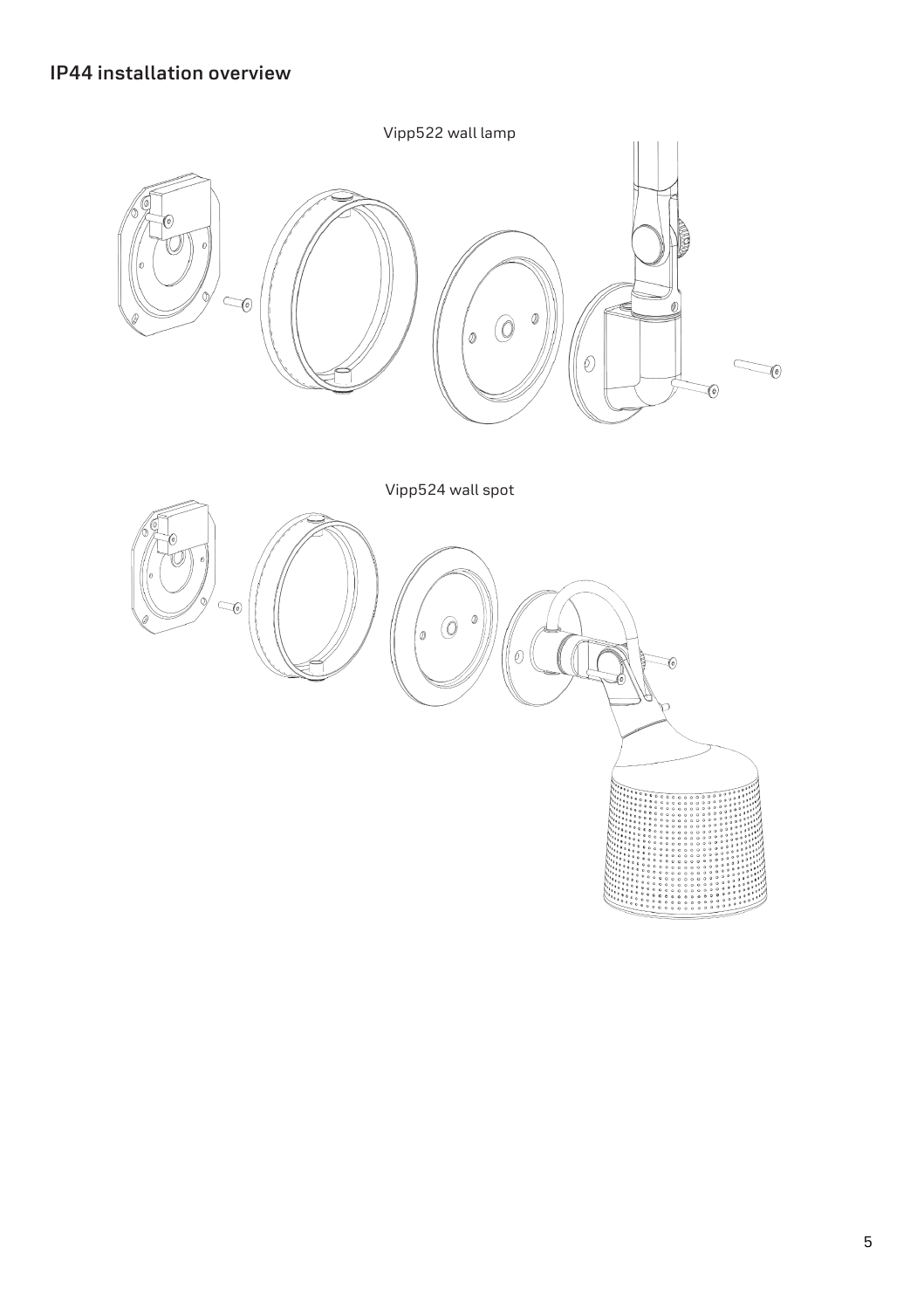